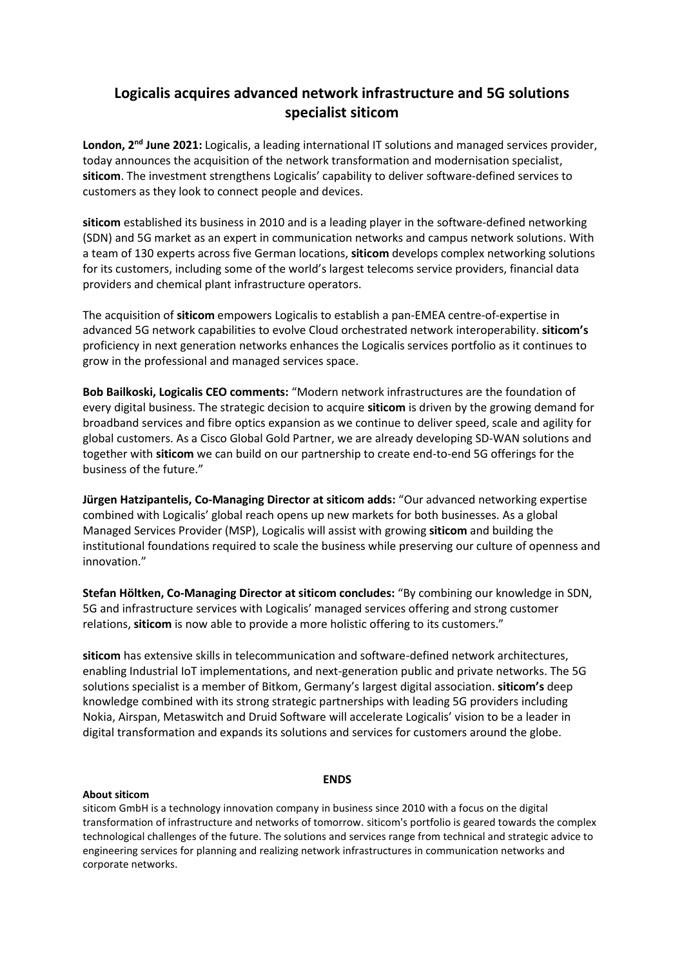## **Logicalis acquires advanced network infrastructure and 5G solutions specialist siticom**

**London, 2nd June 2021:** Logicalis, a leading international IT solutions and managed services provider, today announces the acquisition of the network transformation and modernisation specialist, **siticom**. The investment strengthens Logicalis' capability to deliver software-defined services to customers as they look to connect people and devices.

**siticom** established its business in 2010 and is a leading player in the software-defined networking (SDN) and 5G market as an expert in communication networks and campus network solutions. With a team of 130 experts across five German locations, **siticom** develops complex networking solutions for its customers, including some of the world's largest telecoms service providers, financial data providers and chemical plant infrastructure operators.

The acquisition of **siticom** empowers Logicalis to establish a pan-EMEA centre-of-expertise in advanced 5G network capabilities to evolve Cloud orchestrated network interoperability. **siticom's** proficiency in next generation networks enhances the Logicalis services portfolio as it continues to grow in the professional and managed services space.

**Bob Bailkoski, Logicalis CEO comments:** "Modern network infrastructures are the foundation of every digital business. The strategic decision to acquire **siticom** is driven by the growing demand for broadband services and fibre optics expansion as we continue to deliver speed, scale and agility for global customers. As a Cisco Global Gold Partner, we are already developing SD-WAN solutions and together with **siticom** we can build on our partnership to create end-to-end 5G offerings for the business of the future."

**Jürgen Hatzipantelis, Co-Managing Director at siticom adds:** "Our advanced networking expertise combined with Logicalis' global reach opens up new markets for both businesses. As a global Managed Services Provider (MSP), Logicalis will assist with growing **siticom** and building the institutional foundations required to scale the business while preserving our culture of openness and innovation."

**Stefan Höltken, Co-Managing Director at siticom concludes:** "By combining our knowledge in SDN, 5G and infrastructure services with Logicalis' managed services offering and strong customer relations, **siticom** is now able to provide a more holistic offering to its customers."

**siticom** has extensive skills in telecommunication and software-defined network architectures, enabling Industrial IoT implementations, and next-generation public and private networks. The 5G solutions specialist is a member of Bitkom, Germany's largest digital association. **siticom's** deep knowledge combined with its strong strategic partnerships with leading 5G providers including Nokia, Airspan, Metaswitch and Druid Software will accelerate Logicalis' vision to be a leader in digital transformation and expands its solutions and services for customers around the globe.

## **ENDS**

## **About siticom**

siticom GmbH is a technology innovation company in business since 2010 with a focus on the digital transformation of infrastructure and networks of tomorrow. siticom's portfolio is geared towards the complex technological challenges of the future. The solutions and services range from technical and strategic advice to engineering services for planning and realizing network infrastructures in communication networks and corporate networks.